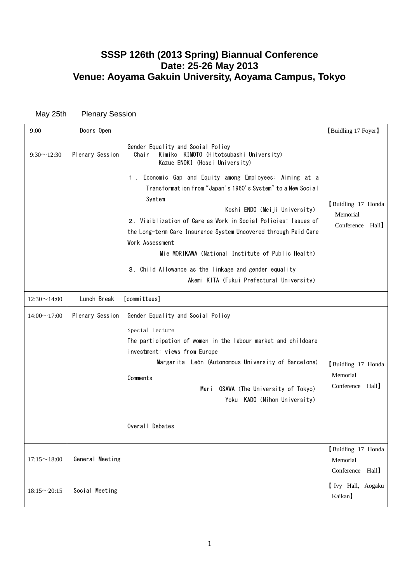# **SSSP 126th (2013 Spring) Biannual Conference Date: 25-26 May 2013 Venue: Aoyama Gakuin University, Aoyama Campus, Tokyo**

May 25th Plenary Session

| 9:00               | Doors Open                                                                                                                                                                                                                                                                                                                                                                                                                                                 | [Buidling 17 Foyer]                                                                                                 |
|--------------------|------------------------------------------------------------------------------------------------------------------------------------------------------------------------------------------------------------------------------------------------------------------------------------------------------------------------------------------------------------------------------------------------------------------------------------------------------------|---------------------------------------------------------------------------------------------------------------------|
| $9:30 \sim 12:30$  | Gender Equality and Social Policy<br>Plenary Session<br>Chair<br>Kimiko KIMOTO (Hitotsubashi University)<br>Kazue ENOKI (Hosei University)                                                                                                                                                                                                                                                                                                                 |                                                                                                                     |
|                    | Economic Gap and Equity among Employees: Aiming at a<br>$1$ .<br>Transformation from "Japan's 1960's System" to a New Social<br>System<br>2. Visiblization of Care as Work in Social Policies: Issues of<br>the Long-term Care Insurance System Uncovered through Paid Care<br>Work Assessment<br>Mie MORIKAWA (National Institute of Public Health)<br>3. Child Allowance as the linkage and gender equality<br>Akemi KITA (Fukui Prefectural University) | Buidling 17 Honda<br>Koshi ENDO (Meiji University)<br>Memorial<br>Conference Hall                                   |
| $12:30 \sim 14:00$ | Lunch Break<br>[committees]                                                                                                                                                                                                                                                                                                                                                                                                                                |                                                                                                                     |
| $14:00 \sim 17:00$ | Plenary Session<br>Gender Equality and Social Policy<br>Special Lecture<br>The participation of women in the labour market and childcare<br>investment: views from Europe<br>Margarita León (Autonomous University of Barcelona)<br>Comments<br>Mari<br>Overall Debates                                                                                                                                                                                    | Buidling 17 Honda<br>Memorial<br>Conference Hall<br>OSAWA (The University of Tokyo)<br>Yoku KADO (Nihon University) |
| $17:15 \sim 18:00$ | General Meeting                                                                                                                                                                                                                                                                                                                                                                                                                                            | Buidling 17 Honda<br>Memorial<br>Hall<br>Conference                                                                 |
| $18:15 \sim 20:15$ | Social Meeting                                                                                                                                                                                                                                                                                                                                                                                                                                             | I Ivy Hall, Aogaku<br>Kaikan]                                                                                       |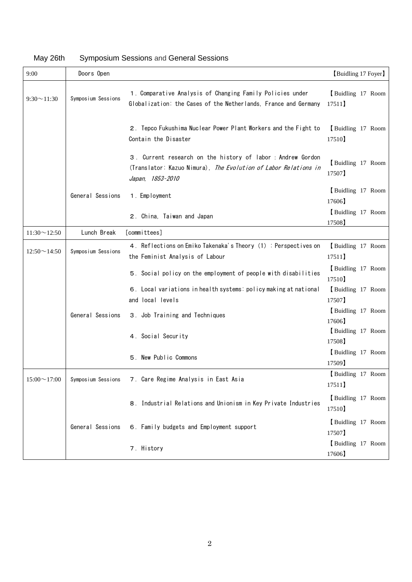| 9:00               | Doors Open         |                                                                                                                                                   | [Buidling 17 Foyer]        |
|--------------------|--------------------|---------------------------------------------------------------------------------------------------------------------------------------------------|----------------------------|
| $9:30 \sim 11:30$  | Symposium Sessions | 1. Comparative Analysis of Changing Family Policies under<br>Globalization: the Cases of the Netherlands, France and Germany                      | Buidling 17 Room<br>17511  |
|                    |                    | 2. Tepco Fukushima Nuclear Power Plant Workers and the Fight to<br>Contain the Disaster                                                           | Buidling 17 Room<br>17510  |
|                    |                    | 3. Current research on the history of labor: Andrew Gordon<br>(Translator: Kazuo Nimura), The Evolution of Labor Relations in<br>Japan, 1853-2010 | Buidling 17 Room<br>17507  |
|                    | General Sessions   | 1. Employment                                                                                                                                     | Buidling 17 Room<br>17606  |
|                    |                    | 2. China, Taiwan and Japan                                                                                                                        | Buidling 17 Room<br>17508  |
| $11:30 \sim 12:50$ | Lunch Break        | [committees]                                                                                                                                      |                            |
| $12:50 \sim 14:50$ | Symposium Sessions | 4. Reflections on Emiko Takenaka's Theory (1): Perspectives on<br>the Feminist Analysis of Labour                                                 | Buidling 17 Room<br>17511  |
|                    |                    | 5. Social policy on the employment of people with disabilities                                                                                    | Buidling 17 Room<br>17510  |
|                    |                    | 6. Local variations in health systems: policy making at national<br>and local levels                                                              | Buidling 17 Room<br>17507] |
|                    | General Sessions   | 3. Job Training and Techniques                                                                                                                    | Buidling 17 Room<br>17606  |
|                    |                    | 4. Social Security                                                                                                                                | Buidling 17 Room<br>17508) |
|                    |                    | 5. New Public Commons                                                                                                                             | Buidling 17 Room<br>17509] |
| $15:00 \sim 17:00$ | Symposium Sessions | 7. Care Regime Analysis in East Asia                                                                                                              | Buidling 17 Room<br>17511] |
|                    |                    | 8. Industrial Relations and Unionism in Key Private Industries                                                                                    | Buidling 17 Room<br>17510] |
|                    | General Sessions   | 6. Family budgets and Employment support                                                                                                          | Buidling 17 Room<br>17507] |
|                    |                    | 7. History                                                                                                                                        | Buidling 17 Room<br>17606  |

# May 26th Symposium Sessions and [General Sessions](http://sssp-online.org/126th_c_e.html)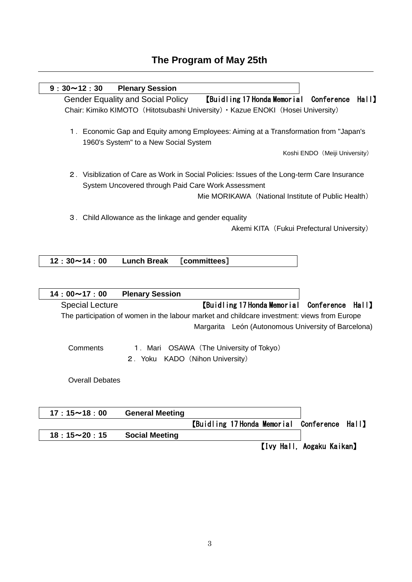# **The Program of May 25th**

| $9:30 \sim 12:30$<br><b>Plenary Session</b>                                                                                                                                                             |
|---------------------------------------------------------------------------------------------------------------------------------------------------------------------------------------------------------|
| <b>Gender Equality and Social Policy</b><br>[Buidling 17 Honda Memorial<br>Conference<br>Hall                                                                                                           |
| Chair: Kimiko KIMOTO (Hitotsubashi University) · Kazue ENOKI (Hosei University)                                                                                                                         |
| 1. Economic Gap and Equity among Employees: Aiming at a Transformation from "Japan's<br>1960's System" to a New Social System                                                                           |
| Koshi ENDO (Meiji University)                                                                                                                                                                           |
| 2. Visiblization of Care as Work in Social Policies: Issues of the Long-term Care Insurance<br>System Uncovered through Paid Care Work Assessment<br>Mie MORIKAWA (National Institute of Public Health) |
| 3. Child Allowance as the linkage and gender equality<br>Akemi KITA (Fukui Prefectural University)                                                                                                      |
| <b>Lunch Break</b><br>[committees]<br>$12:30 \sim 14:00$                                                                                                                                                |
|                                                                                                                                                                                                         |
|                                                                                                                                                                                                         |
| $14:00 \sim 17:00$<br><b>Plenary Session</b>                                                                                                                                                            |
| [Buidling 17 Honda Memorial]<br><b>Special Lecture</b><br>Conference<br><b>Hall</b>                                                                                                                     |
| The participation of women in the labour market and childcare investment: views from Europe                                                                                                             |
| Margarita León (Autonomous University of Barcelona)                                                                                                                                                     |
|                                                                                                                                                                                                         |
| Comments<br>1. Mari OSAWA (The University of Tokyo)                                                                                                                                                     |
| 2. Yoku KADO (Nihon University)                                                                                                                                                                         |
| <b>Overall Debates</b>                                                                                                                                                                                  |
| $17:15 \sim 18:00$<br><b>General Meeting</b>                                                                                                                                                            |

【Ivy Hall, Aogaku Kaikan】

【Buidling 17 Honda Memorial Conference Hall】

**18**:**15**~**20**:**15 Social Meeting**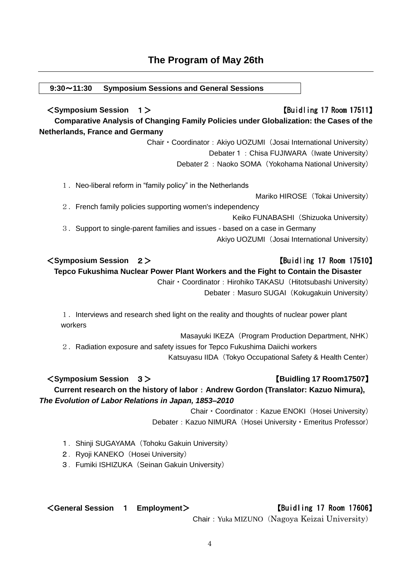# **The Program of May 26th**

#### **9:30**~**11:30 Symposium Sessions and [General Sessions](http://sssp-online.org/126th_c_e.html)**

<**Symposium Session** 1> 【Buidling 17 Room 17511】 **Comparative Analysis of Changing Family Policies under Globalization: the Cases of the Netherlands, France and Germany**

Chair · Coordinator: Akiyo UOZUMI (Josai International University)

Debater 1: Chisa FUJIWARA (Iwate University)

Debater 2: Naoko SOMA (Yokohama National University)

1. Neo-liberal reform in "family policy" in the Netherlands

Mariko HIROSE (Tokai University)

2.French family policies supporting women's independency

Keiko FUNABASHI (Shizuoka University)

3. Support to single-parent families and issues - based on a case in Germany

Akiyo UOZUMI (Josai International University)

### <**Symposium Session** 2> 【Buidling 17 Room 17510】

**Tepco Fukushima Nuclear Power Plant Workers and the Fight to Contain the Disaster**

Chair · Coordinator: Hirohiko TAKASU (Hitotsubashi University) Debater: Masuro SUGAI (Kokugakuin University)

1. Interviews and research shed light on the reality and thoughts of nuclear power plant workers

Masayuki IKEZA (Program Production Department, NHK) 2.Radiation exposure and safety issues for Tepco Fukushima Daiichi workers Katsuyasu IIDA (Tokyo Occupational Safety & Health Center)

# <**Symposium Session** 3> 【**Buidling 17 Room17507**】 **Current research on the history of labor**:**Andrew Gordon (Translator: Kazuo Nimura),**  *The Evolution of Labor Relations in Japan, 1853–2010*

Chair · Coordinator: Kazue ENOKI (Hosei University) Debater: Kazuo NIMURA (Hosei University · Emeritus Professor)

- 1. Shinji SUGAYAMA (Tohoku Gakuin University)
- 2. Ryoji KANEKO (Hosei University)
- 3. Fumiki ISHIZUKA (Seinan Gakuin University)

<**General Session** 1 **Employment**> 【Buidling 17 Room 17606】

Chair: Yuka MIZUNO (Nagoya Keizai University)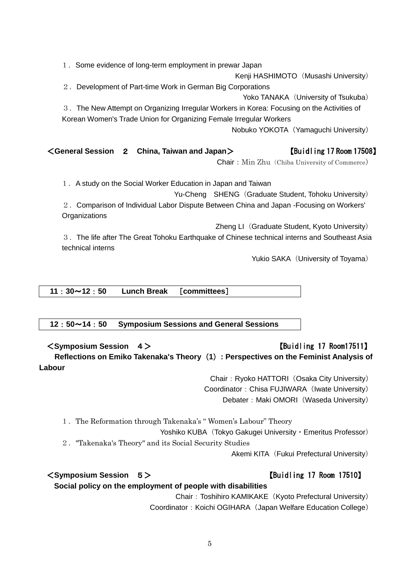1.Some evidence of long-term employment in prewar Japan

Kenji HASHIMOTO (Musashi University)

2. Development of Part-time Work in German Big Corporations

Yoko TANAKA (University of Tsukuba)

3.The New Attempt on Organizing Irregular Workers in Korea: Focusing on the Activities of Korean Women's Trade Union for Organizing Female Irregular Workers

Nobuko YOKOTA (Yamaguchi University)

# <**General Session** 2 **[China, Taiwan and Japan](http://sssp-online.org/126th_c_e.html#2)**> 【Buidling 17 Room 17508】

Chair: Min Zhu (Chiba University of Commerce)

1.A study on the Social Worker Education in Japan and Taiwan

Yu-Cheng SHENG (Graduate Student, Tohoku University)

2.Comparison of Individual Labor Dispute Between China and Japan -Focusing on Workers' **Organizations** 

Zheng LI (Graduate Student, Kyoto University)

3.The life after The Great Tohoku Earthquake of Chinese technical interns and Southeast Asia technical interns

Yukio SAKA (University of Toyama)

**11**:**30**~**12**:**50 Lunch Break** [**committees**]

**12**:**50**~**14**:**50 Symposium Sessions and [General Sessions](http://sssp-online.org/126th_c_e.html)**

<**Symposium Session** 4> 【Buidling 17 Room17511】 **Reflections on Emiko Takenaka's Theory**(**1**)**: Perspectives on the Feminist Analysis of Labour**

> Chair: Ryoko HATTORI (Osaka City University) Coordinator: Chisa FUJIWARA (Iwate University) Debater: Maki OMORI (Waseda University)

1.The Reformation through Takenaka's " Women's Labour" Theory

Yoshiko KUBA (Tokyo Gakugei University · Emeritus Professor)

2."Takenaka's Theory" and its Social Security Studies

Akemi KITA (Fukui Prefectural University)

#### <**Symposium Session** 5> 【Buidling 17 Room 17510】

**Social policy on the employment of people with disabilities**

Chair: Toshihiro KAMIKAKE (Kyoto Prefectural University) Coordinator: Koichi OGIHARA (Japan Welfare Education College)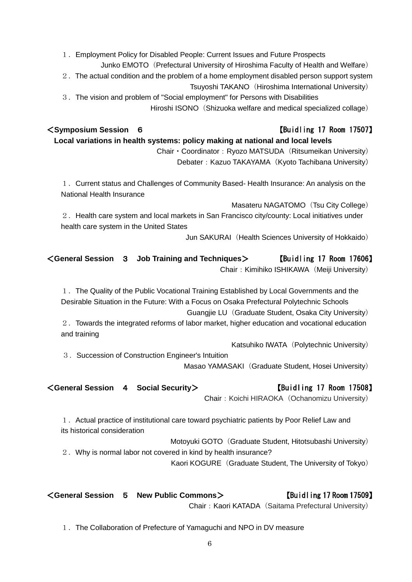1.Employment Policy for Disabled People: Current Issues and Future Prospects Junko EMOTO (Prefectural University of Hiroshima Faculty of Health and Welfare)

2.The actual condition and the problem of a home employment disabled person support system Tsuyoshi TAKANO (Hiroshima International University)

3.The vision and problem of "Social employment" for Persons with Disabilities Hiroshi ISONO (Shizuoka welfare and medical specialized collage)

# <**Symposium Session** 6 【Buidling 17 Room 17507】

**Local variations in health systems: policy making at national and local levels** Chair · Coordinator: Ryozo MATSUDA (Ritsumeikan University) Debater: Kazuo TAKAYAMA (Kyoto Tachibana University)

1.Current status and Challenges of Community Based- Health Insurance: An analysis on the National Health Insurance

Masateru NAGATOMO (Tsu City College)

2.Health care system and local markets in San Francisco city/county: Local initiatives under health care system in the United States

Jun SAKURAI (Health Sciences University of Hokkaido)

## <**General Session** 3 **Job Training and Techniques**> 【Buidling 17 Room 17606】 Chair: Kimihiko ISHIKAWA (Meiji University)

1.The Quality of the Public Vocational Training Established by Local Governments and the Desirable Situation in the Future: With a Focus on Osaka Prefectural Polytechnic Schools

Guangjie LU (Graduate Student, Osaka City University)

2.Towards the integrated reforms of labor market, higher education and vocational education and training

Katsuhiko IWATA (Polytechnic University)

3. Succession of Construction Engineer's Intuition

Masao YAMASAKI (Graduate Student, Hosei University)

<**General Session** 4 **Social Security**> 【Buidling 17 Room 17508】

Chair: Koichi HIRAOKA (Ochanomizu University)

1.Actual practice of institutional care toward psychiatric patients by Poor Relief Law and its historical consideration

Motoyuki GOTO (Graduate Student, Hitotsubashi University) 2.Why is normal labor not covered in kind by health insurance?

Kaori KOGURE (Graduate Student, The University of Tokyo)

<**General Session** 5 **New Public Commons**> 【Buidling 17 Room 17509】 Chair: Kaori KATADA (Saitama Prefectural University)

1.The Collaboration of Prefecture of Yamaguchi and NPO in DV measure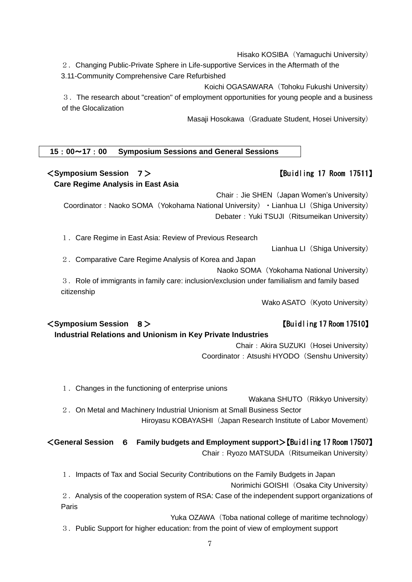Hisako KOSIBA (Yamaguchi University)

- 2.Changing Public-Private Sphere in Life-supportive Services in the Aftermath of the
- 3.11-Community Comprehensive Care Refurbished

Koichi OGASAWARA (Tohoku Fukushi University)

3.The research about "creation" of employment opportunities for young people and a business of the Glocalization

Masaji Hosokawa (Graduate Student, Hosei University)

#### **15**:**00**~**17**:**00 Symposium Sessions and [General Sessions](http://sssp-online.org/126th_c_e.html)**

### <**Symposium Session** 7> 【Buidling 17 Room 17511】 **Care Regime Analysis in East Asia**

Chair: Jie SHEN (Japan Women's University) Coordinator: Naoko SOMA (Yokohama National University) · Lianhua LI (Shiga University) Debater: Yuki TSUJI (Ritsumeikan University)

1.Care Regime in East Asia: Review of Previous Research

Lianhua LI(Shiga University)

2.Comparative Care Regime Analysis of Korea and Japan

Naoko SOMA (Yokohama National University)

 3.Role of immigrants in family care: inclusion/exclusion under familialism and family based citizenship

Wako ASATO (Kyoto University)

### <**Symposium Session** 8> 【Buidling 17 Room 17510】

**Industrial Relations and Unionism in Key Private Industries**

Chair: Akira SUZUKI (Hosei University) Coordinator: Atsushi HYODO (Senshu University)

1.Changes in the functioning of enterprise unions

Wakana SHUTO (Rikkyo University)

2. On Metal and Machinery Industrial Unionism at Small Business Sector Hiroyasu KOBAYASHI (Japan Research Institute of Labor Movement)

# <**General Session** 6 **Family budgets and Employment support**>【Buidling 17 Room 17507】

Chair: Ryozo MATSUDA (Ritsumeikan University)

1.Impacts of Tax and Social Security Contributions on the Family Budgets in Japan

Norimichi GOISHI (Osaka City University)

2.Analysis of the cooperation system of RSA: Case of the independent support organizations of Paris

Yuka OZAWA (Toba national college of maritime technology)

3. Public Support for higher education: from the point of view of employment support